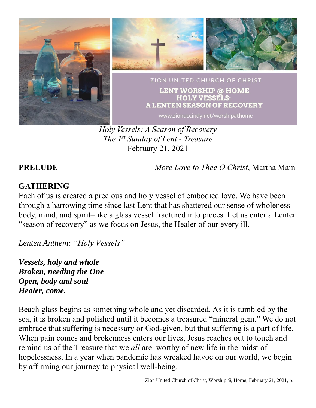

*Holy Vessels: A Season of Recovery The 1st Sunday of Lent - Treasure* February 21, 2021

**PRELUDE** *More Love to Thee O Christ*, Martha Main

# **GATHERING**

Each of us is created a precious and holy vessel of embodied love. We have been through a harrowing time since last Lent that has shattered our sense of wholeness– body, mind, and spirit–like a glass vessel fractured into pieces. Let us enter a Lenten "season of recovery" as we focus on Jesus, the Healer of our every ill.

*Lenten Anthem: "Holy Vessels"*

*Vessels, holy and whole Broken, needing the One Open, body and soul Healer, come.*

Beach glass begins as something whole and yet discarded. As it is tumbled by the sea, it is broken and polished until it becomes a treasured "mineral gem." We do not embrace that suffering is necessary or God-given, but that suffering is a part of life. When pain comes and brokenness enters our lives, Jesus reaches out to touch and remind us of the Treasure that we *all* are–worthy of new life in the midst of hopelessness. In a year when pandemic has wreaked havoc on our world, we begin by affirming our journey to physical well-being.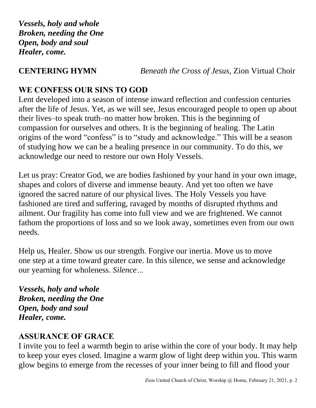*Vessels, holy and whole Broken, needing the One Open, body and soul Healer, come.*

# **CENTERING HYMN** *Beneath the Cross of Jesus,* Zion Virtual Choir

# **WE CONFESS OUR SINS TO GOD**

Lent developed into a season of intense inward reflection and confession centuries after the life of Jesus. Yet, as we will see, Jesus encouraged people to open up about their lives–to speak truth–no matter how broken. This is the beginning of compassion for ourselves and others. It is the beginning of healing. The Latin origins of the word "confess" is to "study and acknowledge." This will be a season of studying how we can be a healing presence in our community. To do this, we acknowledge our need to restore our own Holy Vessels.

Let us pray: Creator God, we are bodies fashioned by your hand in your own image, shapes and colors of diverse and immense beauty. And yet too often we have ignored the sacred nature of our physical lives. The Holy Vessels you have fashioned are tired and suffering, ravaged by months of disrupted rhythms and ailment. Our fragility has come into full view and we are frightened. We cannot fathom the proportions of loss and so we look away, sometimes even from our own needs.

Help us, Healer. Show us our strength. Forgive our inertia. Move us to move one step at a time toward greater care. In this silence, we sense and acknowledge our yearning for wholeness. *Silence…*

*Vessels, holy and whole Broken, needing the One Open, body and soul Healer, come.*

## **ASSURANCE OF GRACE**

I invite you to feel a warmth begin to arise within the core of your body. It may help to keep your eyes closed. Imagine a warm glow of light deep within you. This warm glow begins to emerge from the recesses of your inner being to fill and flood your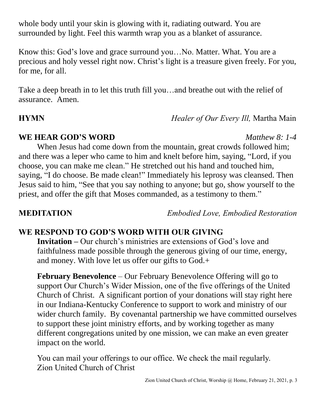whole body until your skin is glowing with it, radiating outward. You are surrounded by light. Feel this warmth wrap you as a blanket of assurance.

Know this: God's love and grace surround you…No. Matter. What. You are a precious and holy vessel right now. Christ's light is a treasure given freely. For you, for me, for all.

Take a deep breath in to let this truth fill you…and breathe out with the relief of assurance. Amen.

**HYMN** *Healer of Our Every Ill,* Martha Main

### **WE HEAR GOD'S WORD** *Matthew 8: 1-4*

When Jesus had come down from the mountain, great crowds followed him; and there was a leper who came to him and knelt before him, saying, "Lord, if you choose, you can make me clean." He stretched out his hand and touched him, saying, "I do choose. Be made clean!" Immediately his leprosy was cleansed. Then Jesus said to him, "See that you say nothing to anyone; but go, show yourself to the priest, and offer the gift that Moses commanded, as a testimony to them."

**MEDITATION** *Embodied Love, Embodied Restoration*

## **WE RESPOND TO GOD'S WORD WITH OUR GIVING**

**Invitation –** Our church's ministries are extensions of God's love and faithfulness made possible through the generous giving of our time, energy, and money. With love let us offer our gifts to God.+

**February Benevolence** – Our February Benevolence Offering will go to support Our Church's Wider Mission, one of the five offerings of the United Church of Christ. A significant portion of your donations will stay right here in our Indiana-Kentucky Conference to support to work and ministry of our wider church family. By covenantal partnership we have committed ourselves to support these joint ministry efforts, and by working together as many different congregations united by one mission, we can make an even greater impact on the world.

You can mail your offerings to our office. We check the mail regularly. Zion United Church of Christ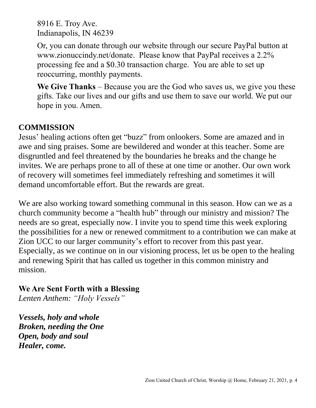8916 E. Troy Ave. Indianapolis, IN 46239

Or, you can donate through our website through our secure PayPal button at www.zionuccindy.net/donate. Please know that PayPal receives a 2.2% processing fee and a \$0.30 transaction charge. You are able to set up reoccurring, monthly payments.

**We Give Thanks** – Because you are the God who saves us, we give you these gifts. Take our lives and our gifts and use them to save our world. We put our hope in you. Amen.

### **COMMISSION**

Jesus' healing actions often get "buzz" from onlookers. Some are amazed and in awe and sing praises. Some are bewildered and wonder at this teacher. Some are disgruntled and feel threatened by the boundaries he breaks and the change he invites. We are perhaps prone to all of these at one time or another. Our own work of recovery will sometimes feel immediately refreshing and sometimes it will demand uncomfortable effort. But the rewards are great.

We are also working toward something communal in this season. How can we as a church community become a "health hub" through our ministry and mission? The needs are so great, especially now. I invite you to spend time this week exploring the possibilities for a new or renewed commitment to a contribution we can make at Zion UCC to our larger community's effort to recover from this past year. Especially, as we continue on in our visioning process, let us be open to the healing and renewing Spirit that has called us together in this common ministry and mission.

### **We Are Sent Forth with a Blessing**

*Lenten Anthem: "Holy Vessels"*

*Vessels, holy and whole Broken, needing the One Open, body and soul Healer, come.*